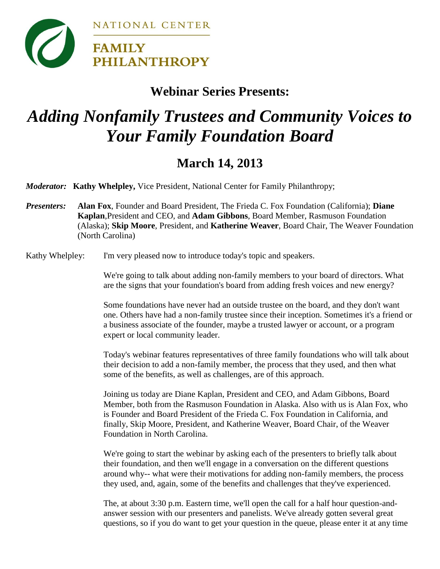

### **Webinar Series Presents:**

# *Adding Nonfamily Trustees and Community Voices to Your Family Foundation Board*

## **March 14, 2013**

*Moderator:* **Kathy Whelpley,** Vice President, National Center for Family Philanthropy;

*Presenters:* **Alan Fox**, Founder and Board President, The Frieda C. Fox Foundation (California); **Diane Kaplan**,President and CEO, and **Adam Gibbons**, Board Member, Rasmuson Foundation (Alaska); **Skip Moore**, President, and **Katherine Weaver**, Board Chair, The Weaver Foundation (North Carolina)

Kathy Whelpley: I'm very pleased now to introduce today's topic and speakers.

We're going to talk about adding non-family members to your board of directors. What are the signs that your foundation's board from adding fresh voices and new energy?

Some foundations have never had an outside trustee on the board, and they don't want one. Others have had a non-family trustee since their inception. Sometimes it's a friend or a business associate of the founder, maybe a trusted lawyer or account, or a program expert or local community leader.

Today's webinar features representatives of three family foundations who will talk about their decision to add a non-family member, the process that they used, and then what some of the benefits, as well as challenges, are of this approach.

Joining us today are Diane Kaplan, President and CEO, and Adam Gibbons, Board Member, both from the Rasmuson Foundation in Alaska. Also with us is Alan Fox, who is Founder and Board President of the Frieda C. Fox Foundation in California, and finally, Skip Moore, President, and Katherine Weaver, Board Chair, of the Weaver Foundation in North Carolina.

We're going to start the webinar by asking each of the presenters to briefly talk about their foundation, and then we'll engage in a conversation on the different questions around why-- what were their motivations for adding non-family members, the process they used, and, again, some of the benefits and challenges that they've experienced.

The, at about 3:30 p.m. Eastern time, we'll open the call for a half hour question-andanswer session with our presenters and panelists. We've already gotten several great questions, so if you do want to get your question in the queue, please enter it at any time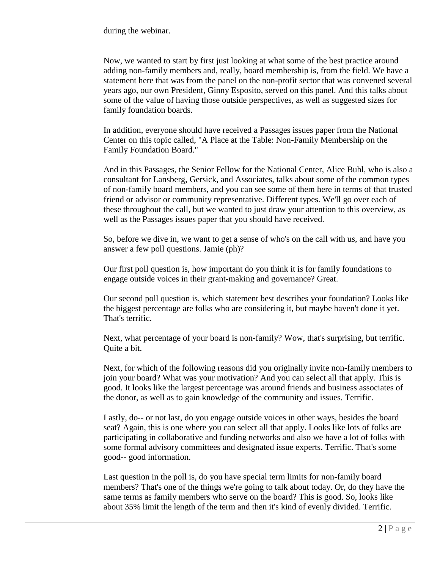during the webinar.

Now, we wanted to start by first just looking at what some of the best practice around adding non-family members and, really, board membership is, from the field. We have a statement here that was from the panel on the non-profit sector that was convened several years ago, our own President, Ginny Esposito, served on this panel. And this talks about some of the value of having those outside perspectives, as well as suggested sizes for family foundation boards.

In addition, everyone should have received a Passages issues paper from the National Center on this topic called, "A Place at the Table: Non-Family Membership on the Family Foundation Board."

And in this Passages, the Senior Fellow for the National Center, Alice Buhl, who is also a consultant for Lansberg, Gersick, and Associates, talks about some of the common types of non-family board members, and you can see some of them here in terms of that trusted friend or advisor or community representative. Different types. We'll go over each of these throughout the call, but we wanted to just draw your attention to this overview, as well as the Passages issues paper that you should have received.

So, before we dive in, we want to get a sense of who's on the call with us, and have you answer a few poll questions. Jamie (ph)?

Our first poll question is, how important do you think it is for family foundations to engage outside voices in their grant-making and governance? Great.

Our second poll question is, which statement best describes your foundation? Looks like the biggest percentage are folks who are considering it, but maybe haven't done it yet. That's terrific.

Next, what percentage of your board is non-family? Wow, that's surprising, but terrific. Quite a bit.

Next, for which of the following reasons did you originally invite non-family members to join your board? What was your motivation? And you can select all that apply. This is good. It looks like the largest percentage was around friends and business associates of the donor, as well as to gain knowledge of the community and issues. Terrific.

Lastly, do-- or not last, do you engage outside voices in other ways, besides the board seat? Again, this is one where you can select all that apply. Looks like lots of folks are participating in collaborative and funding networks and also we have a lot of folks with some formal advisory committees and designated issue experts. Terrific. That's some good-- good information.

Last question in the poll is, do you have special term limits for non-family board members? That's one of the things we're going to talk about today. Or, do they have the same terms as family members who serve on the board? This is good. So, looks like about 35% limit the length of the term and then it's kind of evenly divided. Terrific.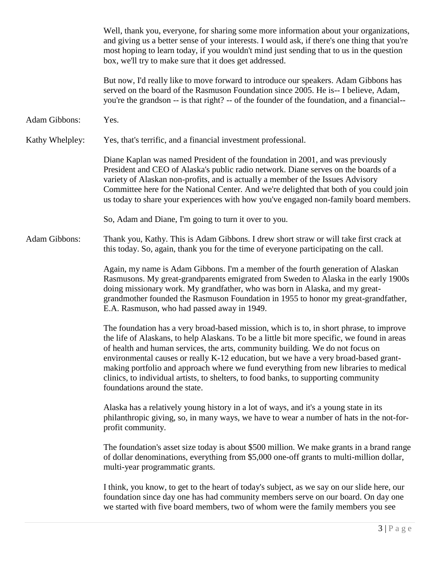|                 | I think, you know, to get to the heart of today's subject, as we say on our slide here, our<br>foundation since day one has had community members serve on our board. On day one<br>we started with five board members, two of whom were the family members you see                                                                                                                                                                                                                                                                                                              |
|-----------------|----------------------------------------------------------------------------------------------------------------------------------------------------------------------------------------------------------------------------------------------------------------------------------------------------------------------------------------------------------------------------------------------------------------------------------------------------------------------------------------------------------------------------------------------------------------------------------|
|                 | The foundation's asset size today is about \$500 million. We make grants in a brand range<br>of dollar denominations, everything from \$5,000 one-off grants to multi-million dollar,<br>multi-year programmatic grants.                                                                                                                                                                                                                                                                                                                                                         |
|                 | Alaska has a relatively young history in a lot of ways, and it's a young state in its<br>philanthropic giving, so, in many ways, we have to wear a number of hats in the not-for-<br>profit community.                                                                                                                                                                                                                                                                                                                                                                           |
|                 | The foundation has a very broad-based mission, which is to, in short phrase, to improve<br>the life of Alaskans, to help Alaskans. To be a little bit more specific, we found in areas<br>of health and human services, the arts, community building. We do not focus on<br>environmental causes or really K-12 education, but we have a very broad-based grant-<br>making portfolio and approach where we fund everything from new libraries to medical<br>clinics, to individual artists, to shelters, to food banks, to supporting community<br>foundations around the state. |
|                 | Again, my name is Adam Gibbons. I'm a member of the fourth generation of Alaskan<br>Rasmusons. My great-grandparents emigrated from Sweden to Alaska in the early 1900s<br>doing missionary work. My grandfather, who was born in Alaska, and my great-<br>grandmother founded the Rasmuson Foundation in 1955 to honor my great-grandfather,<br>E.A. Rasmuson, who had passed away in 1949.                                                                                                                                                                                     |
| Adam Gibbons:   | Thank you, Kathy. This is Adam Gibbons. I drew short straw or will take first crack at<br>this today. So, again, thank you for the time of everyone participating on the call.                                                                                                                                                                                                                                                                                                                                                                                                   |
|                 | So, Adam and Diane, I'm going to turn it over to you.                                                                                                                                                                                                                                                                                                                                                                                                                                                                                                                            |
|                 | Diane Kaplan was named President of the foundation in 2001, and was previously<br>President and CEO of Alaska's public radio network. Diane serves on the boards of a<br>variety of Alaskan non-profits, and is actually a member of the Issues Advisory<br>Committee here for the National Center. And we're delighted that both of you could join<br>us today to share your experiences with how you've engaged non-family board members.                                                                                                                                      |
| Kathy Whelpley: | Yes, that's terrific, and a financial investment professional.                                                                                                                                                                                                                                                                                                                                                                                                                                                                                                                   |
| Adam Gibbons:   | Yes.                                                                                                                                                                                                                                                                                                                                                                                                                                                                                                                                                                             |
|                 | But now, I'd really like to move forward to introduce our speakers. Adam Gibbons has<br>served on the board of the Rasmuson Foundation since 2005. He is-- I believe, Adam,<br>you're the grandson -- is that right? -- of the founder of the foundation, and a financial--                                                                                                                                                                                                                                                                                                      |
|                 | Well, thank you, everyone, for sharing some more information about your organizations,<br>and giving us a better sense of your interests. I would ask, if there's one thing that you're<br>most hoping to learn today, if you wouldn't mind just sending that to us in the question<br>box, we'll try to make sure that it does get addressed.                                                                                                                                                                                                                                   |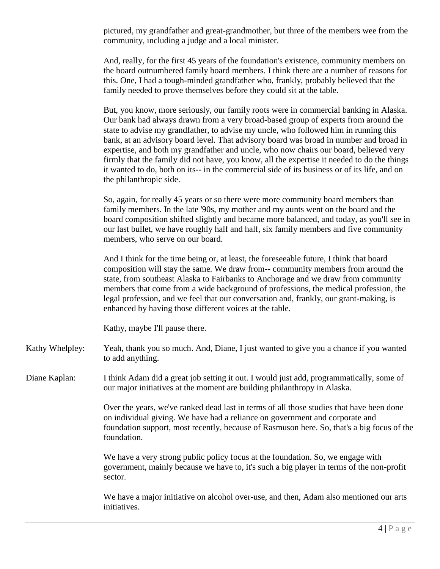pictured, my grandfather and great-grandmother, but three of the members wee from the community, including a judge and a local minister.

And, really, for the first 45 years of the foundation's existence, community members on the board outnumbered family board members. I think there are a number of reasons for this. One, I had a tough-minded grandfather who, frankly, probably believed that the family needed to prove themselves before they could sit at the table.

But, you know, more seriously, our family roots were in commercial banking in Alaska. Our bank had always drawn from a very broad-based group of experts from around the state to advise my grandfather, to advise my uncle, who followed him in running this bank, at an advisory board level. That advisory board was broad in number and broad in expertise, and both my grandfather and uncle, who now chairs our board, believed very firmly that the family did not have, you know, all the expertise it needed to do the things it wanted to do, both on its-- in the commercial side of its business or of its life, and on the philanthropic side.

So, again, for really 45 years or so there were more community board members than family members. In the late '90s, my mother and my aunts went on the board and the board composition shifted slightly and became more balanced, and today, as you'll see in our last bullet, we have roughly half and half, six family members and five community members, who serve on our board.

And I think for the time being or, at least, the foreseeable future, I think that board composition will stay the same. We draw from-- community members from around the state, from southeast Alaska to Fairbanks to Anchorage and we draw from community members that come from a wide background of professions, the medical profession, the legal profession, and we feel that our conversation and, frankly, our grant-making, is enhanced by having those different voices at the table.

Kathy, maybe I'll pause there.

- Kathy Whelpley: Yeah, thank you so much. And, Diane, I just wanted to give you a chance if you wanted to add anything.
- Diane Kaplan: I think Adam did a great job setting it out. I would just add, programmatically, some of our major initiatives at the moment are building philanthropy in Alaska.

Over the years, we've ranked dead last in terms of all those studies that have been done on individual giving. We have had a reliance on government and corporate and foundation support, most recently, because of Rasmuson here. So, that's a big focus of the foundation.

We have a very strong public policy focus at the foundation. So, we engage with government, mainly because we have to, it's such a big player in terms of the non-profit sector.

We have a major initiative on alcohol over-use, and then, Adam also mentioned our arts initiatives.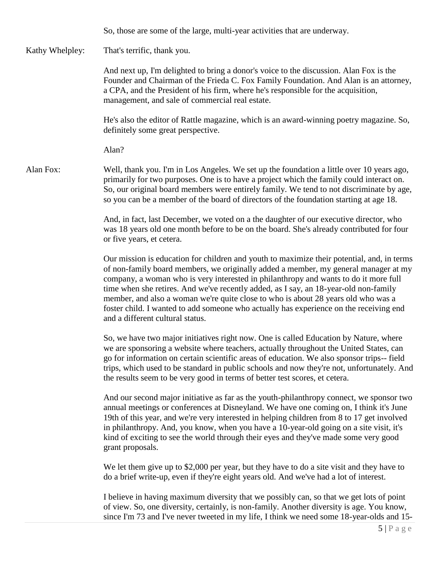So, those are some of the large, multi-year activities that are underway.

#### Kathy Whelpley: That's terrific, thank you.

And next up, I'm delighted to bring a donor's voice to the discussion. Alan Fox is the Founder and Chairman of the Frieda C. Fox Family Foundation. And Alan is an attorney, a CPA, and the President of his firm, where he's responsible for the acquisition, management, and sale of commercial real estate.

He's also the editor of Rattle magazine, which is an award-winning poetry magazine. So, definitely some great perspective.

Alan?

Alan Fox: Well, thank you. I'm in Los Angeles. We set up the foundation a little over 10 years ago, primarily for two purposes. One is to have a project which the family could interact on. So, our original board members were entirely family. We tend to not discriminate by age, so you can be a member of the board of directors of the foundation starting at age 18.

> And, in fact, last December, we voted on a the daughter of our executive director, who was 18 years old one month before to be on the board. She's already contributed for four or five years, et cetera.

Our mission is education for children and youth to maximize their potential, and, in terms of non-family board members, we originally added a member, my general manager at my company, a woman who is very interested in philanthropy and wants to do it more full time when she retires. And we've recently added, as I say, an 18-year-old non-family member, and also a woman we're quite close to who is about 28 years old who was a foster child. I wanted to add someone who actually has experience on the receiving end and a different cultural status.

So, we have two major initiatives right now. One is called Education by Nature, where we are sponsoring a website where teachers, actually throughout the United States, can go for information on certain scientific areas of education. We also sponsor trips-- field trips, which used to be standard in public schools and now they're not, unfortunately. And the results seem to be very good in terms of better test scores, et cetera.

And our second major initiative as far as the youth-philanthropy connect, we sponsor two annual meetings or conferences at Disneyland. We have one coming on, I think it's June 19th of this year, and we're very interested in helping children from 8 to 17 get involved in philanthropy. And, you know, when you have a 10-year-old going on a site visit, it's kind of exciting to see the world through their eyes and they've made some very good grant proposals.

We let them give up to \$2,000 per year, but they have to do a site visit and they have to do a brief write-up, even if they're eight years old. And we've had a lot of interest.

I believe in having maximum diversity that we possibly can, so that we get lots of point of view. So, one diversity, certainly, is non-family. Another diversity is age. You know, since I'm 73 and I've never tweeted in my life, I think we need some 18-year-olds and 15-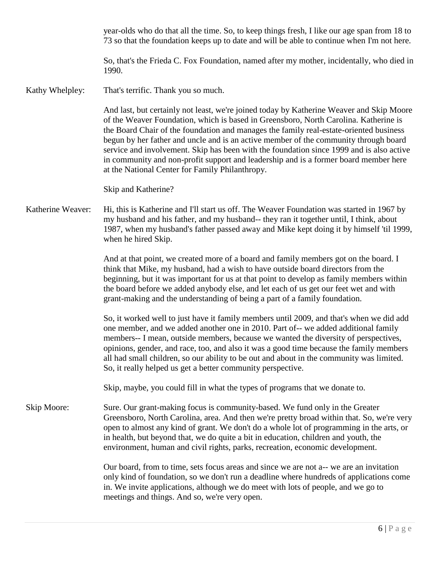year-olds who do that all the time. So, to keep things fresh, I like our age span from 18 to 73 so that the foundation keeps up to date and will be able to continue when I'm not here.

So, that's the Frieda C. Fox Foundation, named after my mother, incidentally, who died in 1990.

Kathy Whelpley: That's terrific. Thank you so much.

And last, but certainly not least, we're joined today by Katherine Weaver and Skip Moore of the Weaver Foundation, which is based in Greensboro, North Carolina. Katherine is the Board Chair of the foundation and manages the family real-estate-oriented business begun by her father and uncle and is an active member of the community through board service and involvement. Skip has been with the foundation since 1999 and is also active in community and non-profit support and leadership and is a former board member here at the National Center for Family Philanthropy.

Skip and Katherine?

Katherine Weaver: Hi, this is Katherine and I'll start us off. The Weaver Foundation was started in 1967 by my husband and his father, and my husband-- they ran it together until, I think, about 1987, when my husband's father passed away and Mike kept doing it by himself 'til 1999, when he hired Skip.

> And at that point, we created more of a board and family members got on the board. I think that Mike, my husband, had a wish to have outside board directors from the beginning, but it was important for us at that point to develop as family members within the board before we added anybody else, and let each of us get our feet wet and with grant-making and the understanding of being a part of a family foundation.

> So, it worked well to just have it family members until 2009, and that's when we did add one member, and we added another one in 2010. Part of-- we added additional family members-- I mean, outside members, because we wanted the diversity of perspectives, opinions, gender, and race, too, and also it was a good time because the family members all had small children, so our ability to be out and about in the community was limited. So, it really helped us get a better community perspective.

Skip, maybe, you could fill in what the types of programs that we donate to.

Skip Moore: Sure. Our grant-making focus is community-based. We fund only in the Greater Greensboro, North Carolina, area. And then we're pretty broad within that. So, we're very open to almost any kind of grant. We don't do a whole lot of programming in the arts, or in health, but beyond that, we do quite a bit in education, children and youth, the environment, human and civil rights, parks, recreation, economic development.

> Our board, from to time, sets focus areas and since we are not a-- we are an invitation only kind of foundation, so we don't run a deadline where hundreds of applications come in. We invite applications, although we do meet with lots of people, and we go to meetings and things. And so, we're very open.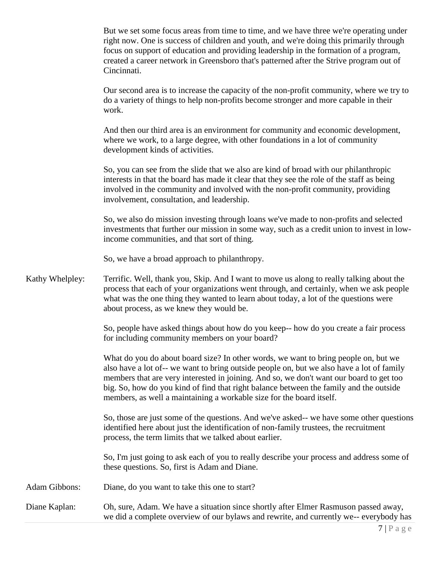But we set some focus areas from time to time, and we have three we're operating under right now. One is success of children and youth, and we're doing this primarily through focus on support of education and providing leadership in the formation of a program, created a career network in Greensboro that's patterned after the Strive program out of Cincinnati.

Our second area is to increase the capacity of the non-profit community, where we try to do a variety of things to help non-profits become stronger and more capable in their work.

And then our third area is an environment for community and economic development, where we work, to a large degree, with other foundations in a lot of community development kinds of activities.

So, you can see from the slide that we also are kind of broad with our philanthropic interests in that the board has made it clear that they see the role of the staff as being involved in the community and involved with the non-profit community, providing involvement, consultation, and leadership.

So, we also do mission investing through loans we've made to non-profits and selected investments that further our mission in some way, such as a credit union to invest in lowincome communities, and that sort of thing.

So, we have a broad approach to philanthropy.

Kathy Whelpley: Terrific. Well, thank you, Skip. And I want to move us along to really talking about the process that each of your organizations went through, and certainly, when we ask people what was the one thing they wanted to learn about today, a lot of the questions were about process, as we knew they would be.

> So, people have asked things about how do you keep-- how do you create a fair process for including community members on your board?

> What do you do about board size? In other words, we want to bring people on, but we also have a lot of-- we want to bring outside people on, but we also have a lot of family members that are very interested in joining. And so, we don't want our board to get too big. So, how do you kind of find that right balance between the family and the outside members, as well a maintaining a workable size for the board itself.

So, those are just some of the questions. And we've asked-- we have some other questions identified here about just the identification of non-family trustees, the recruitment process, the term limits that we talked about earlier.

So, I'm just going to ask each of you to really describe your process and address some of these questions. So, first is Adam and Diane.

- Adam Gibbons: Diane, do you want to take this one to start?
- Diane Kaplan: Oh, sure, Adam. We have a situation since shortly after Elmer Rasmuson passed away, we did a complete overview of our bylaws and rewrite, and currently we-- everybody has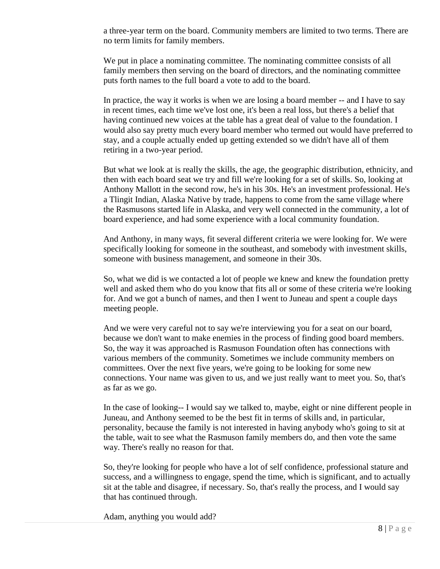a three-year term on the board. Community members are limited to two terms. There are no term limits for family members.

We put in place a nominating committee. The nominating committee consists of all family members then serving on the board of directors, and the nominating committee puts forth names to the full board a vote to add to the board.

In practice, the way it works is when we are losing a board member -- and I have to say in recent times, each time we've lost one, it's been a real loss, but there's a belief that having continued new voices at the table has a great deal of value to the foundation. I would also say pretty much every board member who termed out would have preferred to stay, and a couple actually ended up getting extended so we didn't have all of them retiring in a two-year period.

But what we look at is really the skills, the age, the geographic distribution, ethnicity, and then with each board seat we try and fill we're looking for a set of skills. So, looking at Anthony Mallott in the second row, he's in his 30s. He's an investment professional. He's a Tlingit Indian, Alaska Native by trade, happens to come from the same village where the Rasmusons started life in Alaska, and very well connected in the community, a lot of board experience, and had some experience with a local community foundation.

And Anthony, in many ways, fit several different criteria we were looking for. We were specifically looking for someone in the southeast, and somebody with investment skills, someone with business management, and someone in their 30s.

So, what we did is we contacted a lot of people we knew and knew the foundation pretty well and asked them who do you know that fits all or some of these criteria we're looking for. And we got a bunch of names, and then I went to Juneau and spent a couple days meeting people.

And we were very careful not to say we're interviewing you for a seat on our board, because we don't want to make enemies in the process of finding good board members. So, the way it was approached is Rasmuson Foundation often has connections with various members of the community. Sometimes we include community members on committees. Over the next five years, we're going to be looking for some new connections. Your name was given to us, and we just really want to meet you. So, that's as far as we go.

In the case of looking-- I would say we talked to, maybe, eight or nine different people in Juneau, and Anthony seemed to be the best fit in terms of skills and, in particular, personality, because the family is not interested in having anybody who's going to sit at the table, wait to see what the Rasmuson family members do, and then vote the same way. There's really no reason for that.

So, they're looking for people who have a lot of self confidence, professional stature and success, and a willingness to engage, spend the time, which is significant, and to actually sit at the table and disagree, if necessary. So, that's really the process, and I would say that has continued through.

Adam, anything you would add?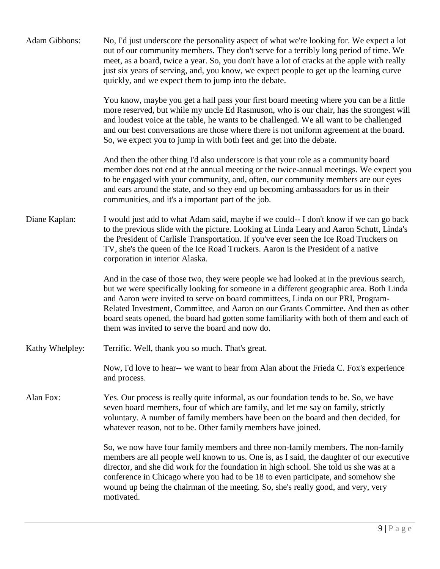| Adam Gibbons:   | No, I'd just underscore the personality aspect of what we're looking for. We expect a lot<br>out of our community members. They don't serve for a terribly long period of time. We<br>meet, as a board, twice a year. So, you don't have a lot of cracks at the apple with really<br>just six years of serving, and, you know, we expect people to get up the learning curve<br>quickly, and we expect them to jump into the debate.                                                                       |
|-----------------|------------------------------------------------------------------------------------------------------------------------------------------------------------------------------------------------------------------------------------------------------------------------------------------------------------------------------------------------------------------------------------------------------------------------------------------------------------------------------------------------------------|
|                 | You know, maybe you get a hall pass your first board meeting where you can be a little<br>more reserved, but while my uncle Ed Rasmuson, who is our chair, has the strongest will<br>and loudest voice at the table, he wants to be challenged. We all want to be challenged<br>and our best conversations are those where there is not uniform agreement at the board.<br>So, we expect you to jump in with both feet and get into the debate.                                                            |
|                 | And then the other thing I'd also underscore is that your role as a community board<br>member does not end at the annual meeting or the twice-annual meetings. We expect you<br>to be engaged with your community, and, often, our community members are our eyes<br>and ears around the state, and so they end up becoming ambassadors for us in their<br>communities, and it's a important part of the job.                                                                                              |
| Diane Kaplan:   | I would just add to what Adam said, maybe if we could-- I don't know if we can go back<br>to the previous slide with the picture. Looking at Linda Leary and Aaron Schutt, Linda's<br>the President of Carlisle Transportation. If you've ever seen the Ice Road Truckers on<br>TV, she's the queen of the Ice Road Truckers. Aaron is the President of a native<br>corporation in interior Alaska.                                                                                                        |
|                 | And in the case of those two, they were people we had looked at in the previous search,<br>but we were specifically looking for someone in a different geographic area. Both Linda<br>and Aaron were invited to serve on board committees, Linda on our PRI, Program-<br>Related Investment, Committee, and Aaron on our Grants Committee. And then as other<br>board seats opened, the board had gotten some familiarity with both of them and each of<br>them was invited to serve the board and now do. |
| Kathy Whelpley: | Terrific. Well, thank you so much. That's great.                                                                                                                                                                                                                                                                                                                                                                                                                                                           |
|                 | Now, I'd love to hear-- we want to hear from Alan about the Frieda C. Fox's experience<br>and process.                                                                                                                                                                                                                                                                                                                                                                                                     |
| Alan Fox:       | Yes. Our process is really quite informal, as our foundation tends to be. So, we have<br>seven board members, four of which are family, and let me say on family, strictly<br>voluntary. A number of family members have been on the board and then decided, for<br>whatever reason, not to be. Other family members have joined.                                                                                                                                                                          |
|                 | So, we now have four family members and three non-family members. The non-family<br>members are all people well known to us. One is, as I said, the daughter of our executive<br>director, and she did work for the foundation in high school. She told us she was at a<br>conference in Chicago where you had to be 18 to even participate, and somehow she<br>wound up being the chairman of the meeting. So, she's really good, and very, very<br>motivated.                                            |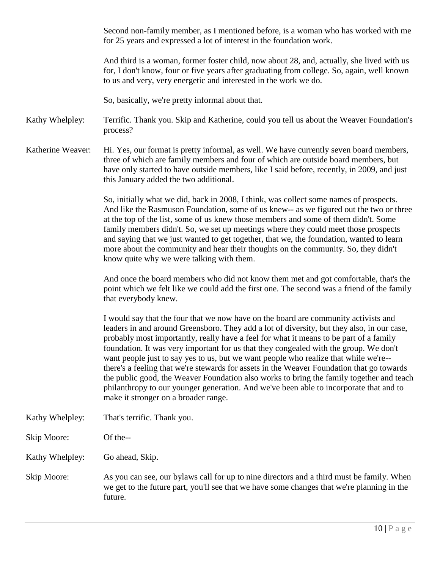Second non-family member, as I mentioned before, is a woman who has worked with me for 25 years and expressed a lot of interest in the foundation work.

And third is a woman, former foster child, now about 28, and, actually, she lived with us for, I don't know, four or five years after graduating from college. So, again, well known to us and very, very energetic and interested in the work we do.

So, basically, we're pretty informal about that.

Kathy Whelpley: Terrific. Thank you. Skip and Katherine, could you tell us about the Weaver Foundation's process?

Katherine Weaver: Hi. Yes, our format is pretty informal, as well. We have currently seven board members, three of which are family members and four of which are outside board members, but have only started to have outside members, like I said before, recently, in 2009, and just this January added the two additional.

> So, initially what we did, back in 2008, I think, was collect some names of prospects. And like the Rasmuson Foundation, some of us knew-- as we figured out the two or three at the top of the list, some of us knew those members and some of them didn't. Some family members didn't. So, we set up meetings where they could meet those prospects and saying that we just wanted to get together, that we, the foundation, wanted to learn more about the community and hear their thoughts on the community. So, they didn't know quite why we were talking with them.

> And once the board members who did not know them met and got comfortable, that's the point which we felt like we could add the first one. The second was a friend of the family that everybody knew.

> I would say that the four that we now have on the board are community activists and leaders in and around Greensboro. They add a lot of diversity, but they also, in our case, probably most importantly, really have a feel for what it means to be part of a family foundation. It was very important for us that they congealed with the group. We don't want people just to say yes to us, but we want people who realize that while we're- there's a feeling that we're stewards for assets in the Weaver Foundation that go towards the public good, the Weaver Foundation also works to bring the family together and teach philanthropy to our younger generation. And we've been able to incorporate that and to make it stronger on a broader range.

Kathy Whelpley: That's terrific. Thank you.

Skip Moore: Of the--

Kathy Whelpley: Go ahead, Skip.

Skip Moore: As you can see, our bylaws call for up to nine directors and a third must be family. When we get to the future part, you'll see that we have some changes that we're planning in the future.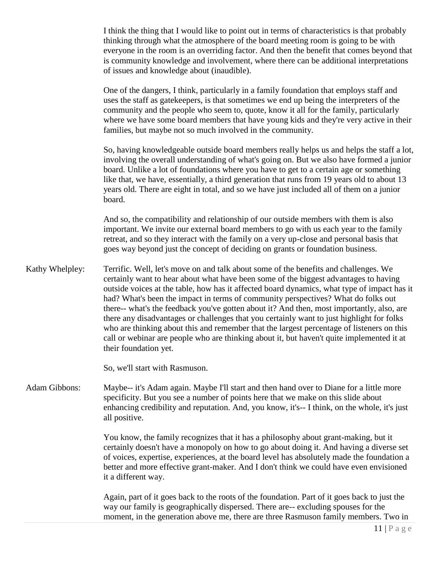I think the thing that I would like to point out in terms of characteristics is that probably thinking through what the atmosphere of the board meeting room is going to be with everyone in the room is an overriding factor. And then the benefit that comes beyond that is community knowledge and involvement, where there can be additional interpretations of issues and knowledge about (inaudible).

One of the dangers, I think, particularly in a family foundation that employs staff and uses the staff as gatekeepers, is that sometimes we end up being the interpreters of the community and the people who seem to, quote, know it all for the family, particularly where we have some board members that have young kids and they're very active in their families, but maybe not so much involved in the community.

So, having knowledgeable outside board members really helps us and helps the staff a lot, involving the overall understanding of what's going on. But we also have formed a junior board. Unlike a lot of foundations where you have to get to a certain age or something like that, we have, essentially, a third generation that runs from 19 years old to about 13 years old. There are eight in total, and so we have just included all of them on a junior board.

And so, the compatibility and relationship of our outside members with them is also important. We invite our external board members to go with us each year to the family retreat, and so they interact with the family on a very up-close and personal basis that goes way beyond just the concept of deciding on grants or foundation business.

Kathy Whelpley: Terrific. Well, let's move on and talk about some of the benefits and challenges. We certainly want to hear about what have been some of the biggest advantages to having outside voices at the table, how has it affected board dynamics, what type of impact has it had? What's been the impact in terms of community perspectives? What do folks out there-- what's the feedback you've gotten about it? And then, most importantly, also, are there any disadvantages or challenges that you certainly want to just highlight for folks who are thinking about this and remember that the largest percentage of listeners on this call or webinar are people who are thinking about it, but haven't quite implemented it at their foundation yet.

So, we'll start with Rasmuson.

Adam Gibbons: Maybe-- it's Adam again. Maybe I'll start and then hand over to Diane for a little more specificity. But you see a number of points here that we make on this slide about enhancing credibility and reputation. And, you know, it's-- I think, on the whole, it's just all positive.

> You know, the family recognizes that it has a philosophy about grant-making, but it certainly doesn't have a monopoly on how to go about doing it. And having a diverse set of voices, expertise, experiences, at the board level has absolutely made the foundation a better and more effective grant-maker. And I don't think we could have even envisioned it a different way.

> Again, part of it goes back to the roots of the foundation. Part of it goes back to just the way our family is geographically dispersed. There are-- excluding spouses for the moment, in the generation above me, there are three Rasmuson family members. Two in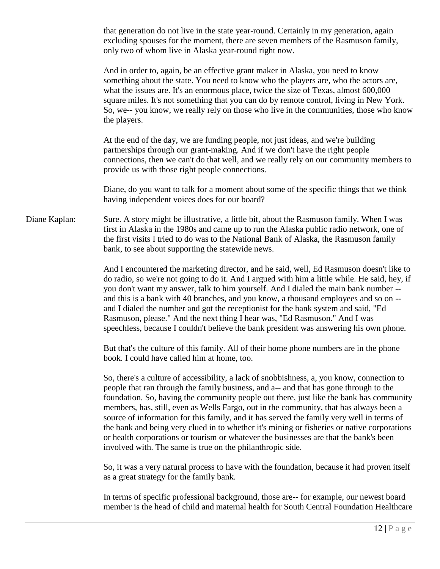that generation do not live in the state year-round. Certainly in my generation, again excluding spouses for the moment, there are seven members of the Rasmuson family, only two of whom live in Alaska year-round right now.

And in order to, again, be an effective grant maker in Alaska, you need to know something about the state. You need to know who the players are, who the actors are, what the issues are. It's an enormous place, twice the size of Texas, almost 600,000 square miles. It's not something that you can do by remote control, living in New York. So, we-- you know, we really rely on those who live in the communities, those who know the players.

At the end of the day, we are funding people, not just ideas, and we're building partnerships through our grant-making. And if we don't have the right people connections, then we can't do that well, and we really rely on our community members to provide us with those right people connections.

Diane, do you want to talk for a moment about some of the specific things that we think having independent voices does for our board?

Diane Kaplan: Sure. A story might be illustrative, a little bit, about the Rasmuson family. When I was first in Alaska in the 1980s and came up to run the Alaska public radio network, one of the first visits I tried to do was to the National Bank of Alaska, the Rasmuson family bank, to see about supporting the statewide news.

> And I encountered the marketing director, and he said, well, Ed Rasmuson doesn't like to do radio, so we're not going to do it. And I argued with him a little while. He said, hey, if you don't want my answer, talk to him yourself. And I dialed the main bank number - and this is a bank with 40 branches, and you know, a thousand employees and so on - and I dialed the number and got the receptionist for the bank system and said, "Ed Rasmuson, please." And the next thing I hear was, "Ed Rasmuson." And I was speechless, because I couldn't believe the bank president was answering his own phone.

But that's the culture of this family. All of their home phone numbers are in the phone book. I could have called him at home, too.

So, there's a culture of accessibility, a lack of snobbishness, a, you know, connection to people that ran through the family business, and a-- and that has gone through to the foundation. So, having the community people out there, just like the bank has community members, has, still, even as Wells Fargo, out in the community, that has always been a source of information for this family, and it has served the family very well in terms of the bank and being very clued in to whether it's mining or fisheries or native corporations or health corporations or tourism or whatever the businesses are that the bank's been involved with. The same is true on the philanthropic side.

So, it was a very natural process to have with the foundation, because it had proven itself as a great strategy for the family bank.

In terms of specific professional background, those are-- for example, our newest board member is the head of child and maternal health for South Central Foundation Healthcare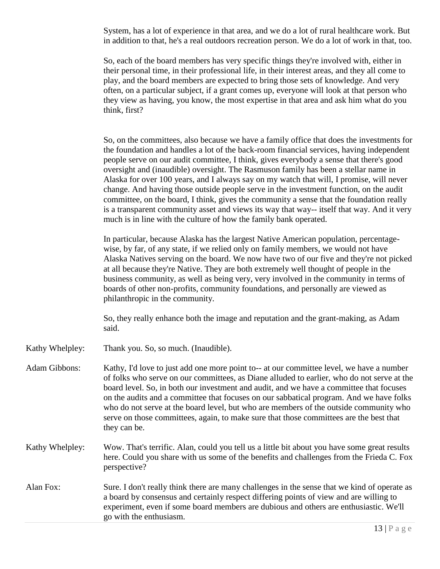System, has a lot of experience in that area, and we do a lot of rural healthcare work. But in addition to that, he's a real outdoors recreation person. We do a lot of work in that, too.

So, each of the board members has very specific things they're involved with, either in their personal time, in their professional life, in their interest areas, and they all come to play, and the board members are expected to bring those sets of knowledge. And very often, on a particular subject, if a grant comes up, everyone will look at that person who they view as having, you know, the most expertise in that area and ask him what do you think, first?

So, on the committees, also because we have a family office that does the investments for the foundation and handles a lot of the back-room financial services, having independent people serve on our audit committee, I think, gives everybody a sense that there's good oversight and (inaudible) oversight. The Rasmuson family has been a stellar name in Alaska for over 100 years, and I always say on my watch that will, I promise, will never change. And having those outside people serve in the investment function, on the audit committee, on the board, I think, gives the community a sense that the foundation really is a transparent community asset and views its way that way-- itself that way. And it very much is in line with the culture of how the family bank operated.

In particular, because Alaska has the largest Native American population, percentagewise, by far, of any state, if we relied only on family members, we would not have Alaska Natives serving on the board. We now have two of our five and they're not picked at all because they're Native. They are both extremely well thought of people in the business community, as well as being very, very involved in the community in terms of boards of other non-profits, community foundations, and personally are viewed as philanthropic in the community.

So, they really enhance both the image and reputation and the grant-making, as Adam said.

- Kathy Whelpley: Thank you. So, so much. (Inaudible).
- Adam Gibbons: Kathy, I'd love to just add one more point to-- at our committee level, we have a number of folks who serve on our committees, as Diane alluded to earlier, who do not serve at the board level. So, in both our investment and audit, and we have a committee that focuses on the audits and a committee that focuses on our sabbatical program. And we have folks who do not serve at the board level, but who are members of the outside community who serve on those committees, again, to make sure that those committees are the best that they can be.
- Kathy Whelpley: Wow. That's terrific. Alan, could you tell us a little bit about you have some great results here. Could you share with us some of the benefits and challenges from the Frieda C. Fox perspective?
- Alan Fox: Sure. I don't really think there are many challenges in the sense that we kind of operate as a board by consensus and certainly respect differing points of view and are willing to experiment, even if some board members are dubious and others are enthusiastic. We'll go with the enthusiasm.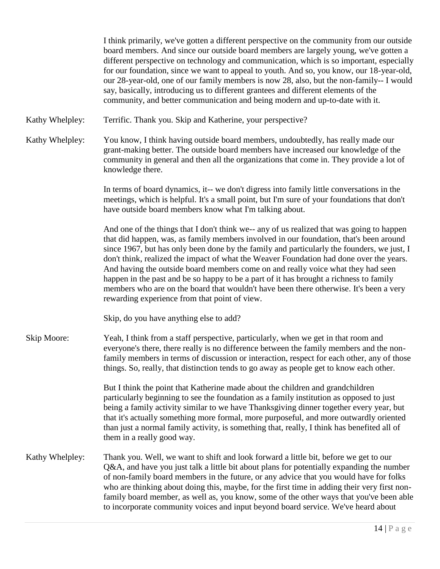I think primarily, we've gotten a different perspective on the community from our outside board members. And since our outside board members are largely young, we've gotten a different perspective on technology and communication, which is so important, especially for our foundation, since we want to appeal to youth. And so, you know, our 18-year-old, our 28-year-old, one of our family members is now 28, also, but the non-family-- I would say, basically, introducing us to different grantees and different elements of the community, and better communication and being modern and up-to-date with it.

Kathy Whelpley: Terrific. Thank you. Skip and Katherine, your perspective?

Kathy Whelpley: You know, I think having outside board members, undoubtedly, has really made our grant-making better. The outside board members have increased our knowledge of the community in general and then all the organizations that come in. They provide a lot of knowledge there.

> In terms of board dynamics, it-- we don't digress into family little conversations in the meetings, which is helpful. It's a small point, but I'm sure of your foundations that don't have outside board members know what I'm talking about.

And one of the things that I don't think we-- any of us realized that was going to happen that did happen, was, as family members involved in our foundation, that's been around since 1967, but has only been done by the family and particularly the founders, we just, I don't think, realized the impact of what the Weaver Foundation had done over the years. And having the outside board members come on and really voice what they had seen happen in the past and be so happy to be a part of it has brought a richness to family members who are on the board that wouldn't have been there otherwise. It's been a very rewarding experience from that point of view.

Skip, do you have anything else to add?

Skip Moore: Yeah, I think from a staff perspective, particularly, when we get in that room and everyone's there, there really is no difference between the family members and the nonfamily members in terms of discussion or interaction, respect for each other, any of those things. So, really, that distinction tends to go away as people get to know each other.

> But I think the point that Katherine made about the children and grandchildren particularly beginning to see the foundation as a family institution as opposed to just being a family activity similar to we have Thanksgiving dinner together every year, but that it's actually something more formal, more purposeful, and more outwardly oriented than just a normal family activity, is something that, really, I think has benefited all of them in a really good way.

Kathy Whelpley: Thank you. Well, we want to shift and look forward a little bit, before we get to our Q&A, and have you just talk a little bit about plans for potentially expanding the number of non-family board members in the future, or any advice that you would have for folks who are thinking about doing this, maybe, for the first time in adding their very first nonfamily board member, as well as, you know, some of the other ways that you've been able to incorporate community voices and input beyond board service. We've heard about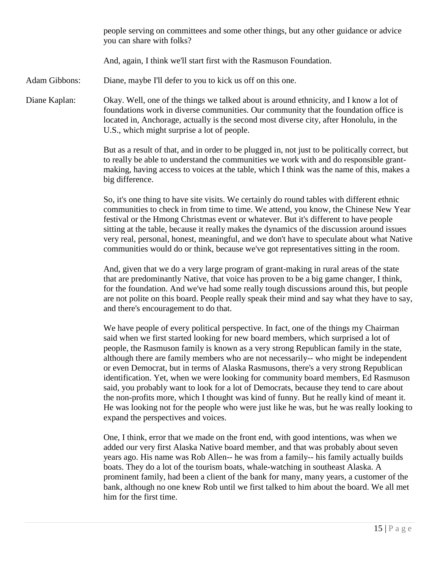people serving on committees and some other things, but any other guidance or advice you can share with folks?

And, again, I think we'll start first with the Rasmuson Foundation.

Adam Gibbons: Diane, maybe I'll defer to you to kick us off on this one.

Diane Kaplan: Okay. Well, one of the things we talked about is around ethnicity, and I know a lot of foundations work in diverse communities. Our community that the foundation office is located in, Anchorage, actually is the second most diverse city, after Honolulu, in the U.S., which might surprise a lot of people.

> But as a result of that, and in order to be plugged in, not just to be politically correct, but to really be able to understand the communities we work with and do responsible grantmaking, having access to voices at the table, which I think was the name of this, makes a big difference.

> So, it's one thing to have site visits. We certainly do round tables with different ethnic communities to check in from time to time. We attend, you know, the Chinese New Year festival or the Hmong Christmas event or whatever. But it's different to have people sitting at the table, because it really makes the dynamics of the discussion around issues very real, personal, honest, meaningful, and we don't have to speculate about what Native communities would do or think, because we've got representatives sitting in the room.

> And, given that we do a very large program of grant-making in rural areas of the state that are predominantly Native, that voice has proven to be a big game changer, I think, for the foundation. And we've had some really tough discussions around this, but people are not polite on this board. People really speak their mind and say what they have to say, and there's encouragement to do that.

> We have people of every political perspective. In fact, one of the things my Chairman said when we first started looking for new board members, which surprised a lot of people, the Rasmuson family is known as a very strong Republican family in the state, although there are family members who are not necessarily-- who might be independent or even Democrat, but in terms of Alaska Rasmusons, there's a very strong Republican identification. Yet, when we were looking for community board members, Ed Rasmuson said, you probably want to look for a lot of Democrats, because they tend to care about the non-profits more, which I thought was kind of funny. But he really kind of meant it. He was looking not for the people who were just like he was, but he was really looking to expand the perspectives and voices.

One, I think, error that we made on the front end, with good intentions, was when we added our very first Alaska Native board member, and that was probably about seven years ago. His name was Rob Allen-- he was from a family-- his family actually builds boats. They do a lot of the tourism boats, whale-watching in southeast Alaska. A prominent family, had been a client of the bank for many, many years, a customer of the bank, although no one knew Rob until we first talked to him about the board. We all met him for the first time.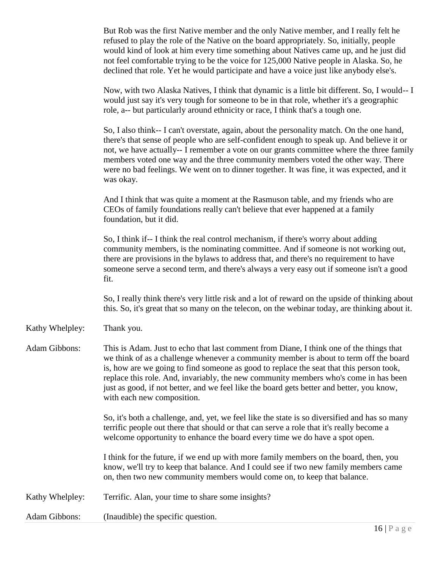|                      | But Rob was the first Native member and the only Native member, and I really felt he<br>refused to play the role of the Native on the board appropriately. So, initially, people<br>would kind of look at him every time something about Natives came up, and he just did<br>not feel comfortable trying to be the voice for 125,000 Native people in Alaska. So, he<br>declined that role. Yet he would participate and have a voice just like anybody else's.                                |
|----------------------|------------------------------------------------------------------------------------------------------------------------------------------------------------------------------------------------------------------------------------------------------------------------------------------------------------------------------------------------------------------------------------------------------------------------------------------------------------------------------------------------|
|                      | Now, with two Alaska Natives, I think that dynamic is a little bit different. So, I would-- I<br>would just say it's very tough for someone to be in that role, whether it's a geographic<br>role, a-- but particularly around ethnicity or race, I think that's a tough one.                                                                                                                                                                                                                  |
|                      | So, I also think-- I can't overstate, again, about the personality match. On the one hand,<br>there's that sense of people who are self-confident enough to speak up. And believe it or<br>not, we have actually-- I remember a vote on our grants committee where the three family<br>members voted one way and the three community members voted the other way. There<br>were no bad feelings. We went on to dinner together. It was fine, it was expected, and it<br>was okay.              |
|                      | And I think that was quite a moment at the Rasmuson table, and my friends who are<br>CEOs of family foundations really can't believe that ever happened at a family<br>foundation, but it did.                                                                                                                                                                                                                                                                                                 |
|                      | So, I think if-- I think the real control mechanism, if there's worry about adding<br>community members, is the nominating committee. And if someone is not working out,<br>there are provisions in the bylaws to address that, and there's no requirement to have<br>someone serve a second term, and there's always a very easy out if someone isn't a good<br>fit.                                                                                                                          |
|                      | So, I really think there's very little risk and a lot of reward on the upside of thinking about<br>this. So, it's great that so many on the telecon, on the webinar today, are thinking about it.                                                                                                                                                                                                                                                                                              |
| Kathy Whelpley:      | Thank you.                                                                                                                                                                                                                                                                                                                                                                                                                                                                                     |
| <b>Adam Gibbons:</b> | This is Adam. Just to echo that last comment from Diane, I think one of the things that<br>we think of as a challenge whenever a community member is about to term off the board<br>is, how are we going to find someone as good to replace the seat that this person took,<br>replace this role. And, invariably, the new community members who's come in has been<br>just as good, if not better, and we feel like the board gets better and better, you know,<br>with each new composition. |
|                      | So, it's both a challenge, and, yet, we feel like the state is so diversified and has so many<br>terrific people out there that should or that can serve a role that it's really become a<br>welcome opportunity to enhance the board every time we do have a spot open.                                                                                                                                                                                                                       |
|                      | I think for the future, if we end up with more family members on the board, then, you<br>know, we'll try to keep that balance. And I could see if two new family members came<br>on, then two new community members would come on, to keep that balance.                                                                                                                                                                                                                                       |
| Kathy Whelpley:      | Terrific. Alan, your time to share some insights?                                                                                                                                                                                                                                                                                                                                                                                                                                              |
| <b>Adam Gibbons:</b> | (Inaudible) the specific question.                                                                                                                                                                                                                                                                                                                                                                                                                                                             |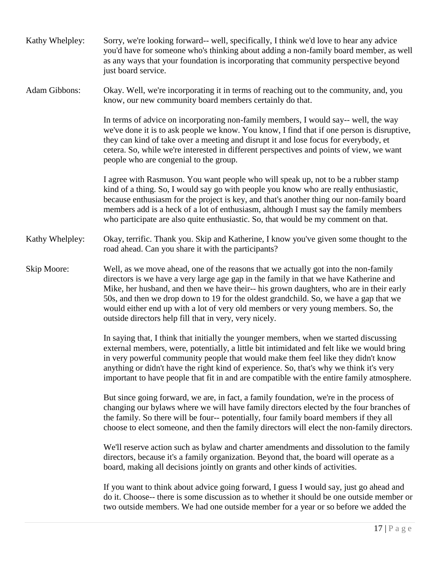| Kathy Whelpley: | Sorry, we're looking forward-- well, specifically, I think we'd love to hear any advice<br>you'd have for someone who's thinking about adding a non-family board member, as well<br>as any ways that your foundation is incorporating that community perspective beyond<br>just board service.                                                                                                                                                                                                                  |
|-----------------|-----------------------------------------------------------------------------------------------------------------------------------------------------------------------------------------------------------------------------------------------------------------------------------------------------------------------------------------------------------------------------------------------------------------------------------------------------------------------------------------------------------------|
| Adam Gibbons:   | Okay. Well, we're incorporating it in terms of reaching out to the community, and, you<br>know, our new community board members certainly do that.                                                                                                                                                                                                                                                                                                                                                              |
|                 | In terms of advice on incorporating non-family members, I would say-- well, the way<br>we've done it is to ask people we know. You know, I find that if one person is disruptive,<br>they can kind of take over a meeting and disrupt it and lose focus for everybody, et<br>cetera. So, while we're interested in different perspectives and points of view, we want<br>people who are congenial to the group.                                                                                                 |
|                 | I agree with Rasmuson. You want people who will speak up, not to be a rubber stamp<br>kind of a thing. So, I would say go with people you know who are really enthusiastic,<br>because enthusiasm for the project is key, and that's another thing our non-family board<br>members add is a heck of a lot of enthusiasm, although I must say the family members<br>who participate are also quite enthusiastic. So, that would be my comment on that.                                                           |
| Kathy Whelpley: | Okay, terrific. Thank you. Skip and Katherine, I know you've given some thought to the<br>road ahead. Can you share it with the participants?                                                                                                                                                                                                                                                                                                                                                                   |
| Skip Moore:     | Well, as we move ahead, one of the reasons that we actually got into the non-family<br>directors is we have a very large age gap in the family in that we have Katherine and<br>Mike, her husband, and then we have their-- his grown daughters, who are in their early<br>50s, and then we drop down to 19 for the oldest grandchild. So, we have a gap that we<br>would either end up with a lot of very old members or very young members. So, the<br>outside directors help fill that in very, very nicely. |
|                 | In saying that, I think that initially the younger members, when we started discussing<br>external members, were, potentially, a little bit intimidated and felt like we would bring<br>in very powerful community people that would make them feel like they didn't know<br>anything or didn't have the right kind of experience. So, that's why we think it's very<br>important to have people that fit in and are compatible with the entire family atmosphere.                                              |
|                 | But since going forward, we are, in fact, a family foundation, we're in the process of<br>changing our bylaws where we will have family directors elected by the four branches of<br>the family. So there will be four-- potentially, four family board members if they all<br>choose to elect someone, and then the family directors will elect the non-family directors.                                                                                                                                      |
|                 | We'll reserve action such as bylaw and charter amendments and dissolution to the family<br>directors, because it's a family organization. Beyond that, the board will operate as a<br>board, making all decisions jointly on grants and other kinds of activities.                                                                                                                                                                                                                                              |
|                 | If you want to think about advice going forward, I guess I would say, just go ahead and<br>do it. Choose-- there is some discussion as to whether it should be one outside member or<br>two outside members. We had one outside member for a year or so before we added the                                                                                                                                                                                                                                     |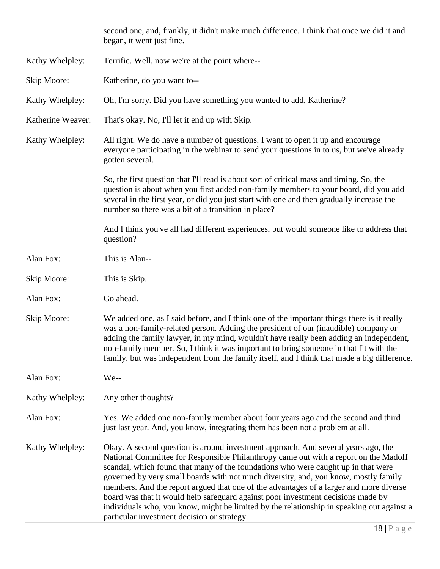|                   | second one, and, frankly, it didn't make much difference. I think that once we did it and<br>began, it went just fine.                                                                                                                                                                                                                                                                                                                                                                                                                                                                                                                                                          |
|-------------------|---------------------------------------------------------------------------------------------------------------------------------------------------------------------------------------------------------------------------------------------------------------------------------------------------------------------------------------------------------------------------------------------------------------------------------------------------------------------------------------------------------------------------------------------------------------------------------------------------------------------------------------------------------------------------------|
| Kathy Whelpley:   | Terrific. Well, now we're at the point where--                                                                                                                                                                                                                                                                                                                                                                                                                                                                                                                                                                                                                                  |
| Skip Moore:       | Katherine, do you want to--                                                                                                                                                                                                                                                                                                                                                                                                                                                                                                                                                                                                                                                     |
| Kathy Whelpley:   | Oh, I'm sorry. Did you have something you wanted to add, Katherine?                                                                                                                                                                                                                                                                                                                                                                                                                                                                                                                                                                                                             |
| Katherine Weaver: | That's okay. No, I'll let it end up with Skip.                                                                                                                                                                                                                                                                                                                                                                                                                                                                                                                                                                                                                                  |
| Kathy Whelpley:   | All right. We do have a number of questions. I want to open it up and encourage<br>everyone participating in the webinar to send your questions in to us, but we've already<br>gotten several.                                                                                                                                                                                                                                                                                                                                                                                                                                                                                  |
|                   | So, the first question that I'll read is about sort of critical mass and timing. So, the<br>question is about when you first added non-family members to your board, did you add<br>several in the first year, or did you just start with one and then gradually increase the<br>number so there was a bit of a transition in place?                                                                                                                                                                                                                                                                                                                                            |
|                   | And I think you've all had different experiences, but would someone like to address that<br>question?                                                                                                                                                                                                                                                                                                                                                                                                                                                                                                                                                                           |
| Alan Fox:         | This is Alan--                                                                                                                                                                                                                                                                                                                                                                                                                                                                                                                                                                                                                                                                  |
| Skip Moore:       | This is Skip.                                                                                                                                                                                                                                                                                                                                                                                                                                                                                                                                                                                                                                                                   |
| Alan Fox:         | Go ahead.                                                                                                                                                                                                                                                                                                                                                                                                                                                                                                                                                                                                                                                                       |
| Skip Moore:       | We added one, as I said before, and I think one of the important things there is it really<br>was a non-family-related person. Adding the president of our (inaudible) company or<br>adding the family lawyer, in my mind, wouldn't have really been adding an independent,<br>non-family member. So, I think it was important to bring someone in that fit with the<br>family, but was independent from the family itself, and I think that made a big difference.                                                                                                                                                                                                             |
| Alan Fox:         | We--                                                                                                                                                                                                                                                                                                                                                                                                                                                                                                                                                                                                                                                                            |
| Kathy Whelpley:   | Any other thoughts?                                                                                                                                                                                                                                                                                                                                                                                                                                                                                                                                                                                                                                                             |
| Alan Fox:         | Yes. We added one non-family member about four years ago and the second and third<br>just last year. And, you know, integrating them has been not a problem at all.                                                                                                                                                                                                                                                                                                                                                                                                                                                                                                             |
| Kathy Whelpley:   | Okay. A second question is around investment approach. And several years ago, the<br>National Committee for Responsible Philanthropy came out with a report on the Madoff<br>scandal, which found that many of the foundations who were caught up in that were<br>governed by very small boards with not much diversity, and, you know, mostly family<br>members. And the report argued that one of the advantages of a larger and more diverse<br>board was that it would help safeguard against poor investment decisions made by<br>individuals who, you know, might be limited by the relationship in speaking out against a<br>particular investment decision or strategy. |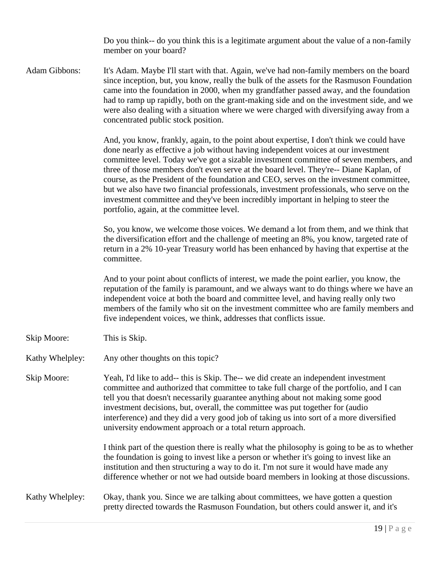Do you think-- do you think this is a legitimate argument about the value of a non-family member on your board?

Adam Gibbons: It's Adam. Maybe I'll start with that. Again, we've had non-family members on the board since inception, but, you know, really the bulk of the assets for the Rasmuson Foundation came into the foundation in 2000, when my grandfather passed away, and the foundation had to ramp up rapidly, both on the grant-making side and on the investment side, and we were also dealing with a situation where we were charged with diversifying away from a concentrated public stock position.

> And, you know, frankly, again, to the point about expertise, I don't think we could have done nearly as effective a job without having independent voices at our investment committee level. Today we've got a sizable investment committee of seven members, and three of those members don't even serve at the board level. They're-- Diane Kaplan, of course, as the President of the foundation and CEO, serves on the investment committee, but we also have two financial professionals, investment professionals, who serve on the investment committee and they've been incredibly important in helping to steer the portfolio, again, at the committee level.

So, you know, we welcome those voices. We demand a lot from them, and we think that the diversification effort and the challenge of meeting an 8%, you know, targeted rate of return in a 2% 10-year Treasury world has been enhanced by having that expertise at the committee.

And to your point about conflicts of interest, we made the point earlier, you know, the reputation of the family is paramount, and we always want to do things where we have an independent voice at both the board and committee level, and having really only two members of the family who sit on the investment committee who are family members and five independent voices, we think, addresses that conflicts issue.

- Skip Moore: This is Skip.
- Kathy Whelpley: Any other thoughts on this topic?

Skip Moore: Yeah, I'd like to add-- this is Skip. The-- we did create an independent investment committee and authorized that committee to take full charge of the portfolio, and I can tell you that doesn't necessarily guarantee anything about not making some good investment decisions, but, overall, the committee was put together for (audio interference) and they did a very good job of taking us into sort of a more diversified university endowment approach or a total return approach.

> I think part of the question there is really what the philosophy is going to be as to whether the foundation is going to invest like a person or whether it's going to invest like an institution and then structuring a way to do it. I'm not sure it would have made any difference whether or not we had outside board members in looking at those discussions.

### Kathy Whelpley: Okay, thank you. Since we are talking about committees, we have gotten a question pretty directed towards the Rasmuson Foundation, but others could answer it, and it's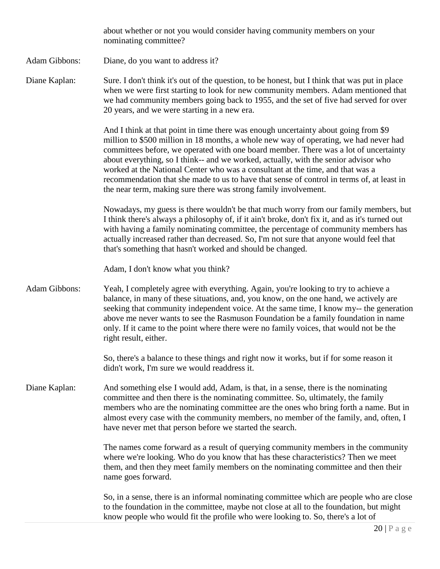|               | about whether or not you would consider having community members on your<br>nominating committee?                                                                                                                                                                                                                                                                                                                                                                                                                                                                                                             |
|---------------|---------------------------------------------------------------------------------------------------------------------------------------------------------------------------------------------------------------------------------------------------------------------------------------------------------------------------------------------------------------------------------------------------------------------------------------------------------------------------------------------------------------------------------------------------------------------------------------------------------------|
| Adam Gibbons: | Diane, do you want to address it?                                                                                                                                                                                                                                                                                                                                                                                                                                                                                                                                                                             |
| Diane Kaplan: | Sure. I don't think it's out of the question, to be honest, but I think that was put in place<br>when we were first starting to look for new community members. Adam mentioned that<br>we had community members going back to 1955, and the set of five had served for over<br>20 years, and we were starting in a new era.                                                                                                                                                                                                                                                                                   |
|               | And I think at that point in time there was enough uncertainty about going from \$9<br>million to \$500 million in 18 months, a whole new way of operating, we had never had<br>committees before, we operated with one board member. There was a lot of uncertainty<br>about everything, so I think-- and we worked, actually, with the senior advisor who<br>worked at the National Center who was a consultant at the time, and that was a<br>recommendation that she made to us to have that sense of control in terms of, at least in<br>the near term, making sure there was strong family involvement. |
|               | Nowadays, my guess is there wouldn't be that much worry from our family members, but<br>I think there's always a philosophy of, if it ain't broke, don't fix it, and as it's turned out<br>with having a family nominating committee, the percentage of community members has<br>actually increased rather than decreased. So, I'm not sure that anyone would feel that<br>that's something that hasn't worked and should be changed.                                                                                                                                                                         |
|               | Adam, I don't know what you think?                                                                                                                                                                                                                                                                                                                                                                                                                                                                                                                                                                            |
| Adam Gibbons: | Yeah, I completely agree with everything. Again, you're looking to try to achieve a<br>balance, in many of these situations, and, you know, on the one hand, we actively are<br>seeking that community independent voice. At the same time, I know my-- the generation<br>above me never wants to see the Rasmuson Foundation be a family foundation in name<br>only. If it came to the point where there were no family voices, that would not be the<br>right result, either.                                                                                                                               |
|               | So, there's a balance to these things and right now it works, but if for some reason it<br>didn't work, I'm sure we would readdress it.                                                                                                                                                                                                                                                                                                                                                                                                                                                                       |
| Diane Kaplan: | And something else I would add, Adam, is that, in a sense, there is the nominating<br>committee and then there is the nominating committee. So, ultimately, the family<br>members who are the nominating committee are the ones who bring forth a name. But in<br>almost every case with the community members, no member of the family, and, often, I<br>have never met that person before we started the search.                                                                                                                                                                                            |
|               | The names come forward as a result of querying community members in the community<br>where we're looking. Who do you know that has these characteristics? Then we meet<br>them, and then they meet family members on the nominating committee and then their<br>name goes forward.                                                                                                                                                                                                                                                                                                                            |
|               | So, in a sense, there is an informal nominating committee which are people who are close<br>to the foundation in the committee, maybe not close at all to the foundation, but might<br>know people who would fit the profile who were looking to. So, there's a lot of                                                                                                                                                                                                                                                                                                                                        |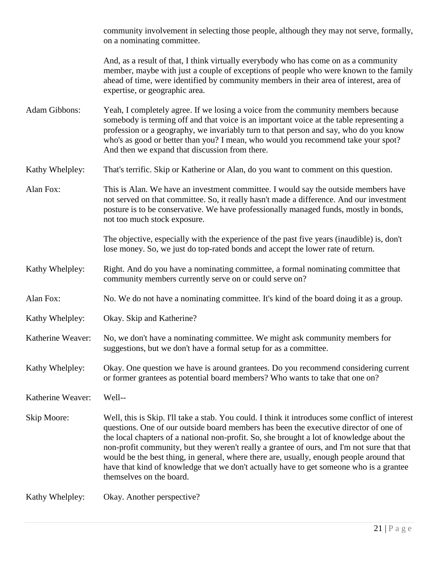community involvement in selecting those people, although they may not serve, formally, on a nominating committee.

And, as a result of that, I think virtually everybody who has come on as a community member, maybe with just a couple of exceptions of people who were known to the family ahead of time, were identified by community members in their area of interest, area of expertise, or geographic area.

Adam Gibbons: Yeah, I completely agree. If we losing a voice from the community members because somebody is terming off and that voice is an important voice at the table representing a profession or a geography, we invariably turn to that person and say, who do you know who's as good or better than you? I mean, who would you recommend take your spot? And then we expand that discussion from there.

Kathy Whelpley: That's terrific. Skip or Katherine or Alan, do you want to comment on this question.

Alan Fox: This is Alan. We have an investment committee. I would say the outside members have not served on that committee. So, it really hasn't made a difference. And our investment posture is to be conservative. We have professionally managed funds, mostly in bonds, not too much stock exposure.

> The objective, especially with the experience of the past five years (inaudible) is, don't lose money. So, we just do top-rated bonds and accept the lower rate of return.

- Kathy Whelpley: Right. And do you have a nominating committee, a formal nominating committee that community members currently serve on or could serve on?
- Alan Fox: No. We do not have a nominating committee. It's kind of the board doing it as a group.
- Kathy Whelpley: Okay. Skip and Katherine?
- Katherine Weaver: No, we don't have a nominating committee. We might ask community members for suggestions, but we don't have a formal setup for as a committee.
- Kathy Whelpley: Okay. One question we have is around grantees. Do you recommend considering current or former grantees as potential board members? Who wants to take that one on?

Katherine Weaver: Well--

Skip Moore: Well, this is Skip. I'll take a stab. You could. I think it introduces some conflict of interest questions. One of our outside board members has been the executive director of one of the local chapters of a national non-profit. So, she brought a lot of knowledge about the non-profit community, but they weren't really a grantee of ours, and I'm not sure that that would be the best thing, in general, where there are, usually, enough people around that have that kind of knowledge that we don't actually have to get someone who is a grantee themselves on the board.

Kathy Whelpley: Okay. Another perspective?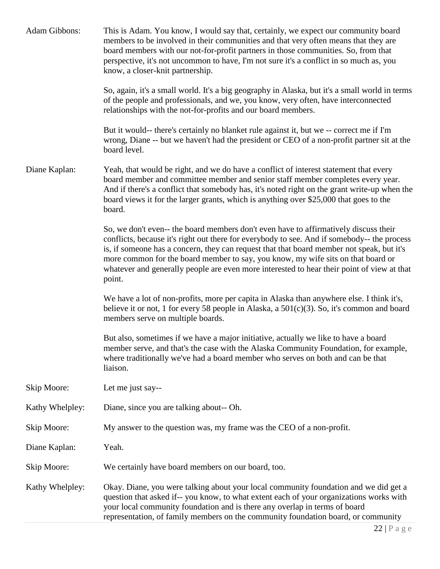| Adam Gibbons:   | This is Adam. You know, I would say that, certainly, we expect our community board<br>members to be involved in their communities and that very often means that they are<br>board members with our not-for-profit partners in those communities. So, from that<br>perspective, it's not uncommon to have, I'm not sure it's a conflict in so much as, you<br>know, a closer-knit partnership.                                                                               |
|-----------------|------------------------------------------------------------------------------------------------------------------------------------------------------------------------------------------------------------------------------------------------------------------------------------------------------------------------------------------------------------------------------------------------------------------------------------------------------------------------------|
|                 | So, again, it's a small world. It's a big geography in Alaska, but it's a small world in terms<br>of the people and professionals, and we, you know, very often, have interconnected<br>relationships with the not-for-profits and our board members.                                                                                                                                                                                                                        |
|                 | But it would-- there's certainly no blanket rule against it, but we -- correct me if I'm<br>wrong, Diane -- but we haven't had the president or CEO of a non-profit partner sit at the<br>board level.                                                                                                                                                                                                                                                                       |
| Diane Kaplan:   | Yeah, that would be right, and we do have a conflict of interest statement that every<br>board member and committee member and senior staff member completes every year.<br>And if there's a conflict that somebody has, it's noted right on the grant write-up when the<br>board views it for the larger grants, which is anything over \$25,000 that goes to the<br>board.                                                                                                 |
|                 | So, we don't even-- the board members don't even have to affirmatively discuss their<br>conflicts, because it's right out there for everybody to see. And if somebody-- the process<br>is, if someone has a concern, they can request that that board member not speak, but it's<br>more common for the board member to say, you know, my wife sits on that board or<br>whatever and generally people are even more interested to hear their point of view at that<br>point. |
|                 | We have a lot of non-profits, more per capita in Alaska than anywhere else. I think it's,<br>believe it or not, 1 for every 58 people in Alaska, a $501(c)(3)$ . So, it's common and board<br>members serve on multiple boards.                                                                                                                                                                                                                                              |
|                 | But also, sometimes if we have a major initiative, actually we like to have a board<br>member serve, and that's the case with the Alaska Community Foundation, for example,<br>where traditionally we've had a board member who serves on both and can be that<br>liaison.                                                                                                                                                                                                   |
| Skip Moore:     | Let me just say--                                                                                                                                                                                                                                                                                                                                                                                                                                                            |
| Kathy Whelpley: | Diane, since you are talking about-- Oh.                                                                                                                                                                                                                                                                                                                                                                                                                                     |
| Skip Moore:     | My answer to the question was, my frame was the CEO of a non-profit.                                                                                                                                                                                                                                                                                                                                                                                                         |
| Diane Kaplan:   | Yeah.                                                                                                                                                                                                                                                                                                                                                                                                                                                                        |
| Skip Moore:     | We certainly have board members on our board, too.                                                                                                                                                                                                                                                                                                                                                                                                                           |
| Kathy Whelpley: | Okay. Diane, you were talking about your local community foundation and we did get a<br>question that asked if-- you know, to what extent each of your organizations works with<br>your local community foundation and is there any overlap in terms of board<br>representation, of family members on the community foundation board, or community                                                                                                                           |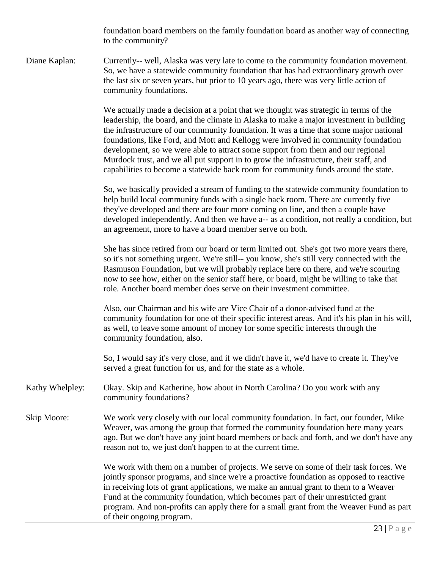foundation board members on the family foundation board as another way of connecting to the community?

Diane Kaplan: Currently-- well, Alaska was very late to come to the community foundation movement. So, we have a statewide community foundation that has had extraordinary growth over the last six or seven years, but prior to 10 years ago, there was very little action of community foundations.

> We actually made a decision at a point that we thought was strategic in terms of the leadership, the board, and the climate in Alaska to make a major investment in building the infrastructure of our community foundation. It was a time that some major national foundations, like Ford, and Mott and Kellogg were involved in community foundation development, so we were able to attract some support from them and our regional Murdock trust, and we all put support in to grow the infrastructure, their staff, and capabilities to become a statewide back room for community funds around the state.

So, we basically provided a stream of funding to the statewide community foundation to help build local community funds with a single back room. There are currently five they've developed and there are four more coming on line, and then a couple have developed independently. And then we have a-- as a condition, not really a condition, but an agreement, more to have a board member serve on both.

She has since retired from our board or term limited out. She's got two more years there, so it's not something urgent. We're still-- you know, she's still very connected with the Rasmuson Foundation, but we will probably replace here on there, and we're scouring now to see how, either on the senior staff here, or board, might be willing to take that role. Another board member does serve on their investment committee.

Also, our Chairman and his wife are Vice Chair of a donor-advised fund at the community foundation for one of their specific interest areas. And it's his plan in his will, as well, to leave some amount of money for some specific interests through the community foundation, also.

So, I would say it's very close, and if we didn't have it, we'd have to create it. They've served a great function for us, and for the state as a whole.

Kathy Whelpley: Okay. Skip and Katherine, how about in North Carolina? Do you work with any community foundations?

Skip Moore: We work very closely with our local community foundation. In fact, our founder, Mike Weaver, was among the group that formed the community foundation here many years ago. But we don't have any joint board members or back and forth, and we don't have any reason not to, we just don't happen to at the current time.

> We work with them on a number of projects. We serve on some of their task forces. We jointly sponsor programs, and since we're a proactive foundation as opposed to reactive in receiving lots of grant applications, we make an annual grant to them to a Weaver Fund at the community foundation, which becomes part of their unrestricted grant program. And non-profits can apply there for a small grant from the Weaver Fund as part of their ongoing program.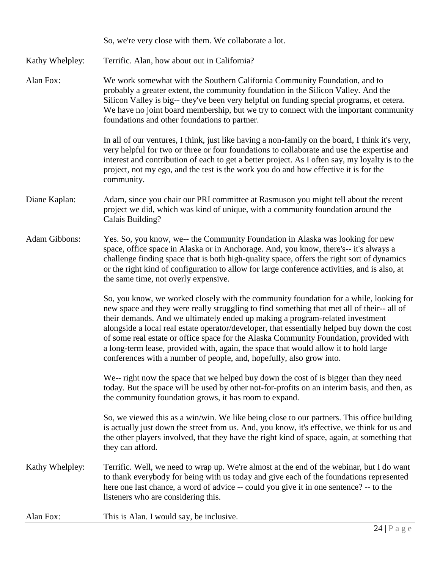|                 | So, we're very close with them. We collaborate a lot.                                                                                                                                                                                                                                                                                                                                                                                                                                                                                                                                                                          |
|-----------------|--------------------------------------------------------------------------------------------------------------------------------------------------------------------------------------------------------------------------------------------------------------------------------------------------------------------------------------------------------------------------------------------------------------------------------------------------------------------------------------------------------------------------------------------------------------------------------------------------------------------------------|
| Kathy Whelpley: | Terrific. Alan, how about out in California?                                                                                                                                                                                                                                                                                                                                                                                                                                                                                                                                                                                   |
| Alan Fox:       | We work somewhat with the Southern California Community Foundation, and to<br>probably a greater extent, the community foundation in the Silicon Valley. And the<br>Silicon Valley is big-- they've been very helpful on funding special programs, et cetera.<br>We have no joint board membership, but we try to connect with the important community<br>foundations and other foundations to partner.                                                                                                                                                                                                                        |
|                 | In all of our ventures, I think, just like having a non-family on the board, I think it's very,<br>very helpful for two or three or four foundations to collaborate and use the expertise and<br>interest and contribution of each to get a better project. As I often say, my loyalty is to the<br>project, not my ego, and the test is the work you do and how effective it is for the<br>community.                                                                                                                                                                                                                         |
| Diane Kaplan:   | Adam, since you chair our PRI committee at Rasmuson you might tell about the recent<br>project we did, which was kind of unique, with a community foundation around the<br>Calais Building?                                                                                                                                                                                                                                                                                                                                                                                                                                    |
| Adam Gibbons:   | Yes. So, you know, we-- the Community Foundation in Alaska was looking for new<br>space, office space in Alaska or in Anchorage. And, you know, there's-- it's always a<br>challenge finding space that is both high-quality space, offers the right sort of dynamics<br>or the right kind of configuration to allow for large conference activities, and is also, at<br>the same time, not overly expensive.                                                                                                                                                                                                                  |
|                 | So, you know, we worked closely with the community foundation for a while, looking for<br>new space and they were really struggling to find something that met all of their-- all of<br>their demands. And we ultimately ended up making a program-related investment<br>alongside a local real estate operator/developer, that essentially helped buy down the cost<br>of some real estate or office space for the Alaska Community Foundation, provided with<br>a long-term lease, provided with, again, the space that would allow it to hold large<br>conferences with a number of people, and, hopefully, also grow into. |
|                 | We-- right now the space that we helped buy down the cost of is bigger than they need<br>today. But the space will be used by other not-for-profits on an interim basis, and then, as<br>the community foundation grows, it has room to expand.                                                                                                                                                                                                                                                                                                                                                                                |
|                 | So, we viewed this as a win/win. We like being close to our partners. This office building<br>is actually just down the street from us. And, you know, it's effective, we think for us and<br>the other players involved, that they have the right kind of space, again, at something that<br>they can afford.                                                                                                                                                                                                                                                                                                                 |
| Kathy Whelpley: | Terrific. Well, we need to wrap up. We're almost at the end of the webinar, but I do want<br>to thank everybody for being with us today and give each of the foundations represented<br>here one last chance, a word of advice -- could you give it in one sentence? -- to the<br>listeners who are considering this.                                                                                                                                                                                                                                                                                                          |
| Alan Fox:       | This is Alan. I would say, be inclusive.                                                                                                                                                                                                                                                                                                                                                                                                                                                                                                                                                                                       |